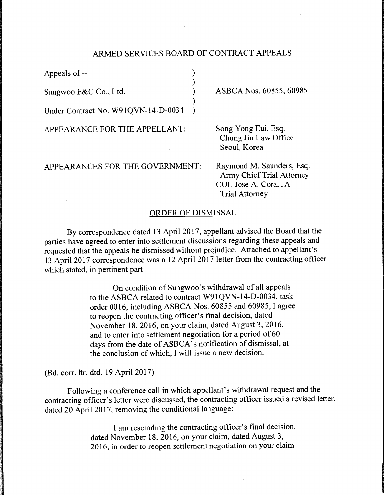## ARMED SERVICES BOARD OF CONTRACT APPEALS

)

)

Appeals of --

Sungwoo E&C Co., Ltd. (1)

Under Contract No. W91QVN-14-D-0034 )

APPEARANCE FOR THE APPELLANT:

APPEARANCES FOR THE GOVERNMENT:

ASBCA Nos. 60855, 60985

Song Yong Eui, Esq. Chung Jin Law Office Seoul, Korea

Raymond M. Saunders, Esq. Army Chief Trial Attorney COL Jose A. Cora, JA Trial Attorney

## ORDER OF DISMISSAL

By correspondence dated 13 April 2017, appellant advised the Board that the parties have agreed to enter into settlement discussions regarding these appeals and requested that the appeals be dismissed without prejudice. Attached to appellant's 13 April 2017 correspondence was a 12 April 2017 letter from the contracting officer which stated, in pertinent part:

> On condition of Sungwoo's withdrawal of all appeals to the ASBCA related to contract W91QVN-14-D-0034, task order 0016, including ASBCA Nos. 60855 and 60985, I agree to reopen the contracting officer's final decision, dated November 18, 2016, on your claim, dated August 3, 2016, and to enter into settlement negotiation for a period of 60 days from the date of ASBCA's notification of dismissal, at the conclusion of which, I will issue a new decision.

(Bd. corr. ltr. dtd. 19 April 2017)

Following a conference call in which appellant's withdrawal request and the contracting officer's letter were discussed, the contracting officer issued a revised letter, dated 20 April 2017, removing the conditional language:

> I am rescinding the contracting officer's final decision, dated November 18, 2016, on your claim, dated August 3, 2016, in order to reopen settlement negotiation on your claim